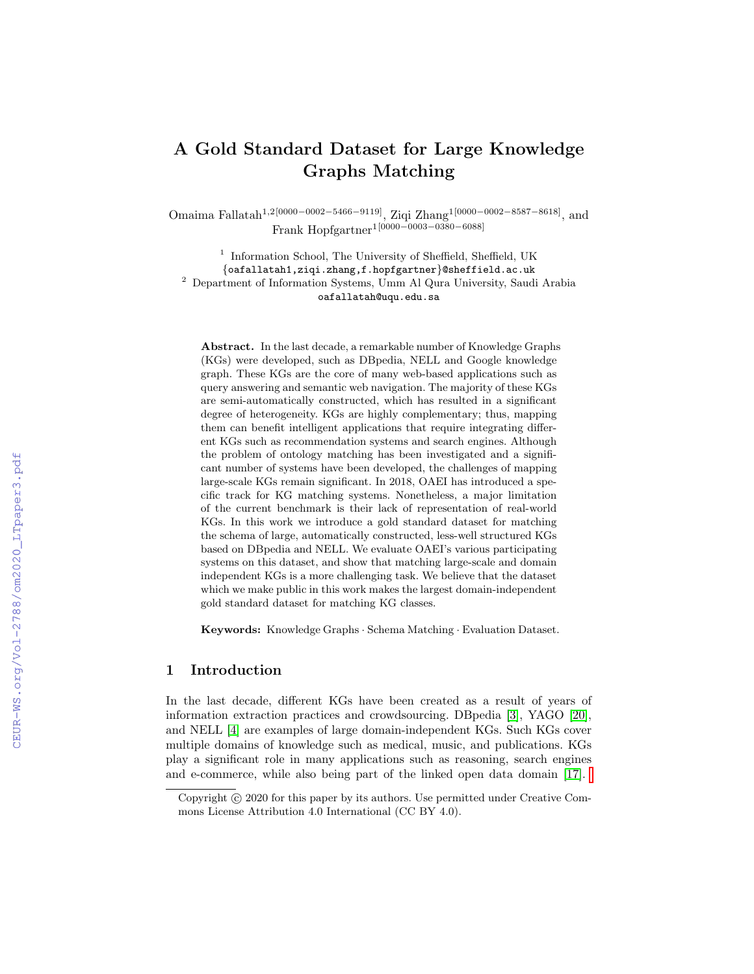# A Gold Standard Dataset for Large Knowledge Graphs Matching

Omaima Fallatah1,2[0000−0002−5466−9119], Ziqi Zhang1[0000−0002−8587−8618], and Frank Hopfgartner1[0000−0003−0380−6088]

<sup>1</sup> Information School, The University of Sheffield, Sheffield, UK {oafallatah1,ziqi.zhang,f.hopfgartner}@sheffield.ac.uk <sup>2</sup> Department of Information Systems, Umm Al Qura University, Saudi Arabia oafallatah@uqu.edu.sa

Abstract. In the last decade, a remarkable number of Knowledge Graphs (KGs) were developed, such as DBpedia, NELL and Google knowledge graph. These KGs are the core of many web-based applications such as query answering and semantic web navigation. The majority of these KGs are semi-automatically constructed, which has resulted in a significant degree of heterogeneity. KGs are highly complementary; thus, mapping them can benefit intelligent applications that require integrating different KGs such as recommendation systems and search engines. Although the problem of ontology matching has been investigated and a significant number of systems have been developed, the challenges of mapping large-scale KGs remain significant. In 2018, OAEI has introduced a specific track for KG matching systems. Nonetheless, a major limitation of the current benchmark is their lack of representation of real-world KGs. In this work we introduce a gold standard dataset for matching the schema of large, automatically constructed, less-well structured KGs based on DBpedia and NELL. We evaluate OAEI's various participating systems on this dataset, and show that matching large-scale and domain independent KGs is a more challenging task. We believe that the dataset which we make public in this work makes the largest domain-independent gold standard dataset for matching KG classes.

Keywords: Knowledge Graphs · Schema Matching · Evaluation Dataset.

## 1 Introduction

In the last decade, different KGs have been created as a result of years of information extraction practices and crowdsourcing. DBpedia [\[3\]](#page--1-0), YAGO [\[20\]](#page--1-1), and NELL [\[4\]](#page--1-2) are examples of large domain-independent KGs. Such KGs cover multiple domains of knowledge such as medical, music, and publications. KGs play a significant role in many applications such as reasoning, search engines and e-commerce, while also being part of the linked open data domain [\[17\]](#page--1-3).

Copyright (c) 2020 for this paper by its authors. Use permitted under Creative Commons License Attribution 4.0 International (CC BY 4.0).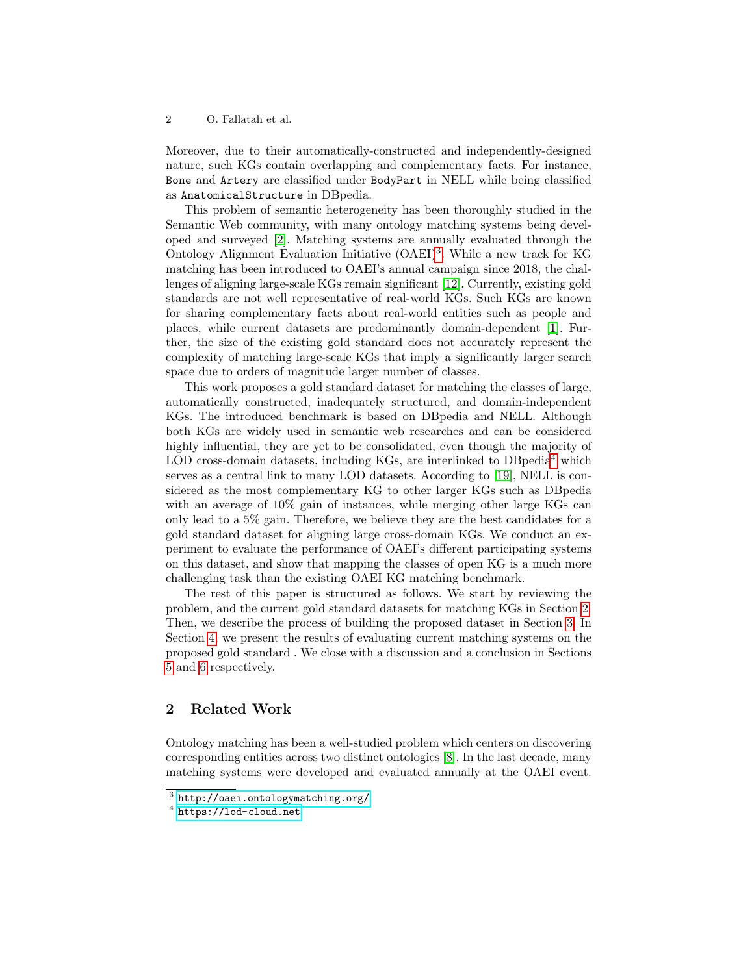Moreover, due to their automatically-constructed and independently-designed nature, such KGs contain overlapping and complementary facts. For instance, Bone and Artery are classified under BodyPart in NELL while being classified as AnatomicalStructure in DBpedia.

This problem of semantic heterogeneity has been thoroughly studied in the Semantic Web community, with many ontology matching systems being developed and surveyed [\[2\]](#page-10-0). Matching systems are annually evaluated through the Ontology Alignment Evaluation Initiative (OAEI)<sup>[3](#page--1-4)</sup>. While a new track for KG matching has been introduced to OAEI's annual campaign since 2018, the challenges of aligning large-scale KGs remain significant [\[12\]](#page-11-0). Currently, existing gold standards are not well representative of real-world KGs. Such KGs are known for sharing complementary facts about real-world entities such as people and places, while current datasets are predominantly domain-dependent [\[1\]](#page-10-1). Further, the size of the existing gold standard does not accurately represent the complexity of matching large-scale KGs that imply a significantly larger search space due to orders of magnitude larger number of classes.

This work proposes a gold standard dataset for matching the classes of large, automatically constructed, inadequately structured, and domain-independent KGs. The introduced benchmark is based on DBpedia and NELL. Although both KGs are widely used in semantic web researches and can be considered highly influential, they are yet to be consolidated, even though the majority of LOD cross-domain datasets, including KGs, are interlinked to  $DBpedia<sup>4</sup>$  $DBpedia<sup>4</sup>$  $DBpedia<sup>4</sup>$  which serves as a central link to many LOD datasets. According to [\[19\]](#page-11-1), NELL is considered as the most complementary KG to other larger KGs such as DBpedia with an average of  $10\%$  gain of instances, while merging other large KGs can only lead to a 5% gain. Therefore, we believe they are the best candidates for a gold standard dataset for aligning large cross-domain KGs. We conduct an experiment to evaluate the performance of OAEI's different participating systems on this dataset, and show that mapping the classes of open KG is a much more challenging task than the existing OAEI KG matching benchmark.

The rest of this paper is structured as follows. We start by reviewing the problem, and the current gold standard datasets for matching KGs in Section [2.](#page-1-0) Then, we describe the process of building the proposed dataset in Section [3.](#page-3-0) In Section [4,](#page-8-0) we present the results of evaluating current matching systems on the proposed gold standard . We close with a discussion and a conclusion in Sections [5](#page-10-2) and [6](#page-10-3) respectively.

## <span id="page-1-0"></span>2 Related Work

Ontology matching has been a well-studied problem which centers on discovering corresponding entities across two distinct ontologies [\[8\]](#page-11-2). In the last decade, many matching systems were developed and evaluated annually at the OAEI event.

 $^3$  <http://oaei.ontologymatching.org/>

 $<sup>4</sup>$  <https://lod-cloud.net></sup>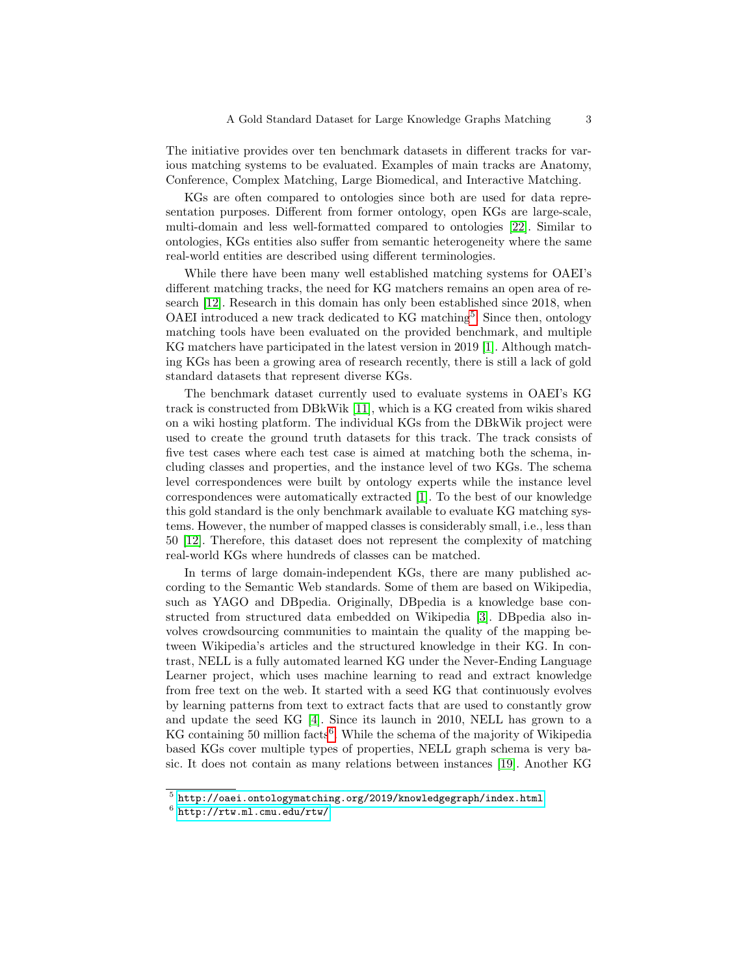The initiative provides over ten benchmark datasets in different tracks for various matching systems to be evaluated. Examples of main tracks are Anatomy, Conference, Complex Matching, Large Biomedical, and Interactive Matching.

KGs are often compared to ontologies since both are used for data representation purposes. Different from former ontology, open KGs are large-scale, multi-domain and less well-formatted compared to ontologies [\[22\]](#page-11-3). Similar to ontologies, KGs entities also suffer from semantic heterogeneity where the same real-world entities are described using different terminologies.

While there have been many well established matching systems for OAEI's different matching tracks, the need for KG matchers remains an open area of research [\[12\]](#page-11-0). Research in this domain has only been established since 2018, when OAEI introduced a new track dedicated to KG matching<sup>[5](#page--1-4)</sup>. Since then, ontology matching tools have been evaluated on the provided benchmark, and multiple KG matchers have participated in the latest version in 2019 [\[1\]](#page-10-1). Although matching KGs has been a growing area of research recently, there is still a lack of gold standard datasets that represent diverse KGs.

The benchmark dataset currently used to evaluate systems in OAEI's KG track is constructed from DBkWik [\[11\]](#page-11-4), which is a KG created from wikis shared on a wiki hosting platform. The individual KGs from the DBkWik project were used to create the ground truth datasets for this track. The track consists of five test cases where each test case is aimed at matching both the schema, including classes and properties, and the instance level of two KGs. The schema level correspondences were built by ontology experts while the instance level correspondences were automatically extracted [\[1\]](#page-10-1). To the best of our knowledge this gold standard is the only benchmark available to evaluate KG matching systems. However, the number of mapped classes is considerably small, i.e., less than 50 [\[12\]](#page-11-0). Therefore, this dataset does not represent the complexity of matching real-world KGs where hundreds of classes can be matched.

In terms of large domain-independent KGs, there are many published according to the Semantic Web standards. Some of them are based on Wikipedia, such as YAGO and DBpedia. Originally, DBpedia is a knowledge base constructed from structured data embedded on Wikipedia [\[3\]](#page-10-4). DBpedia also involves crowdsourcing communities to maintain the quality of the mapping between Wikipedia's articles and the structured knowledge in their KG. In contrast, NELL is a fully automated learned KG under the Never-Ending Language Learner project, which uses machine learning to read and extract knowledge from free text on the web. It started with a seed KG that continuously evolves by learning patterns from text to extract facts that are used to constantly grow and update the seed KG [\[4\]](#page-11-5). Since its launch in 2010, NELL has grown to a KG containing 50 million facts<sup>[6](#page--1-4)</sup>. While the schema of the majority of Wikipedia based KGs cover multiple types of properties, NELL graph schema is very basic. It does not contain as many relations between instances [\[19\]](#page-11-1). Another KG

 $^5$ http:// $\circ$ aei.ontologymatching.org/2019/knowledgegraph/index.html

 $^6$  <http://rtw.ml.cmu.edu/rtw/>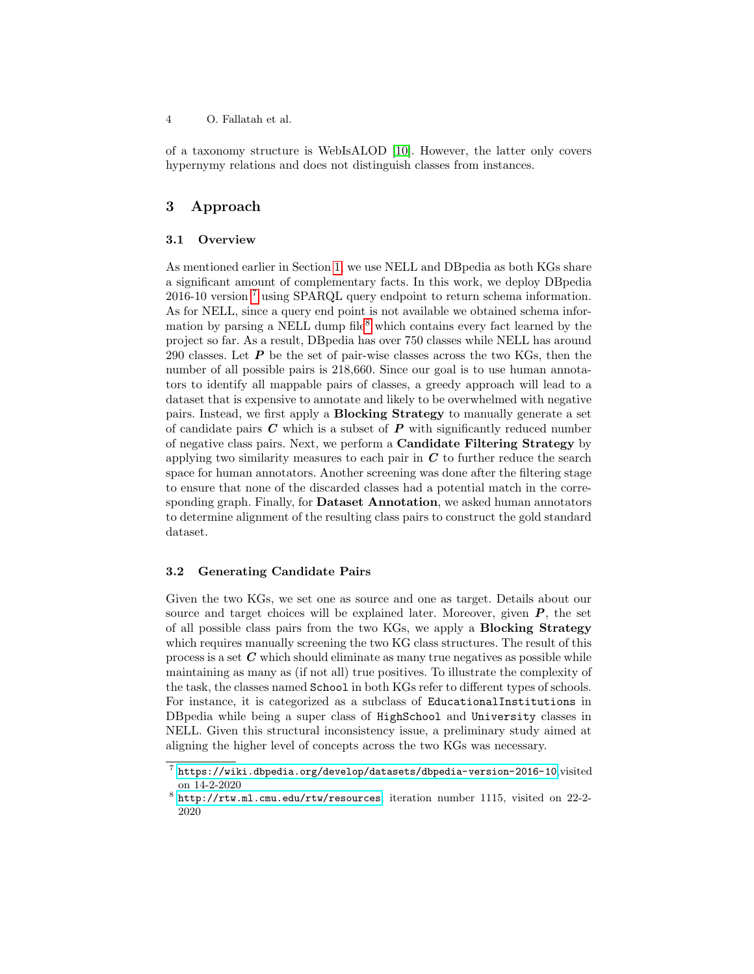of a taxonomy structure is WebIsALOD [\[10\]](#page-11-6). However, the latter only covers hypernymy relations and does not distinguish classes from instances.

## <span id="page-3-0"></span>3 Approach

#### 3.1 Overview

As mentioned earlier in Section [1,](#page--1-5) we use NELL and DBpedia as both KGs share a significant amount of complementary facts. In this work, we deploy DBpedia 2016-10 version [7](#page--1-4) using SPARQL query endpoint to return schema information. As for NELL, since a query end point is not available we obtained schema infor-mation by parsing a NELL dump file<sup>[8](#page--1-4)</sup> which contains every fact learned by the project so far. As a result, DBpedia has over 750 classes while NELL has around 290 classes. Let  $P$  be the set of pair-wise classes across the two KGs, then the number of all possible pairs is 218,660. Since our goal is to use human annotators to identify all mappable pairs of classes, a greedy approach will lead to a dataset that is expensive to annotate and likely to be overwhelmed with negative pairs. Instead, we first apply a Blocking Strategy to manually generate a set of candidate pairs  $C$  which is a subset of  $P$  with significantly reduced number of negative class pairs. Next, we perform a Candidate Filtering Strategy by applying two similarity measures to each pair in  $C$  to further reduce the search space for human annotators. Another screening was done after the filtering stage to ensure that none of the discarded classes had a potential match in the corresponding graph. Finally, for **Dataset Annotation**, we asked human annotators to determine alignment of the resulting class pairs to construct the gold standard dataset.

### 3.2 Generating Candidate Pairs

Given the two KGs, we set one as source and one as target. Details about our source and target choices will be explained later. Moreover, given  $P$ , the set of all possible class pairs from the two KGs, we apply a Blocking Strategy which requires manually screening the two KG class structures. The result of this process is a set  $C$  which should eliminate as many true negatives as possible while maintaining as many as (if not all) true positives. To illustrate the complexity of the task, the classes named School in both KGs refer to different types of schools. For instance, it is categorized as a subclass of EducationalInstitutions in DBpedia while being a super class of HighSchool and University classes in NELL. Given this structural inconsistency issue, a preliminary study aimed at aligning the higher level of concepts across the two KGs was necessary.

 $^7$  <https://wiki.dbpedia.org/develop/datasets/dbpedia-version-2016-10>,visited on 14-2-2020

<sup>8</sup> <http://rtw.ml.cmu.edu/rtw/resources>, iteration number 1115, visited on 22-2- 2020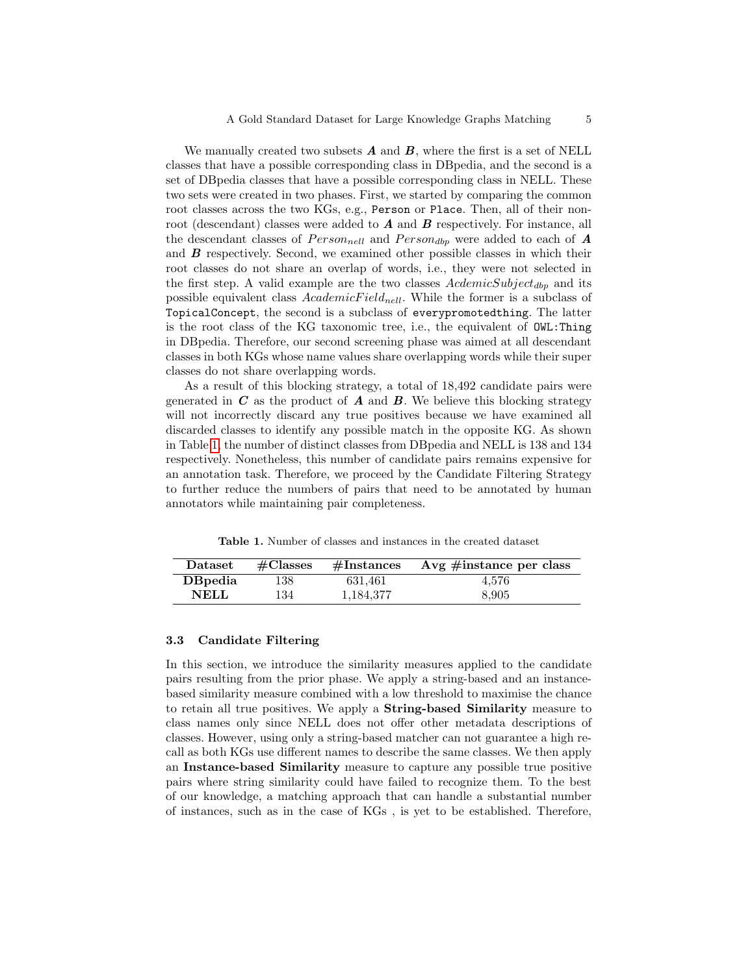We manually created two subsets  $\vec{A}$  and  $\vec{B}$ , where the first is a set of NELL classes that have a possible corresponding class in DBpedia, and the second is a set of DBpedia classes that have a possible corresponding class in NELL. These two sets were created in two phases. First, we started by comparing the common root classes across the two KGs, e.g., Person or Place. Then, all of their nonroot (descendant) classes were added to  $A$  and  $B$  respectively. For instance, all the descendant classes of  $Person_{nell}$  and  $Person_{dbp}$  were added to each of **A** and B respectively. Second, we examined other possible classes in which their root classes do not share an overlap of words, i.e., they were not selected in the first step. A valid example are the two classes  $AcdemicSubject_{dbp}$  and its possible equivalent class  $Academic Field_{nell}$ . While the former is a subclass of TopicalConcept, the second is a subclass of everypromotedthing. The latter is the root class of the KG taxonomic tree, i.e., the equivalent of OWL:Thing in DBpedia. Therefore, our second screening phase was aimed at all descendant classes in both KGs whose name values share overlapping words while their super classes do not share overlapping words.

As a result of this blocking strategy, a total of 18,492 candidate pairs were generated in  $C$  as the product of  $A$  and  $B$ . We believe this blocking strategy will not incorrectly discard any true positives because we have examined all discarded classes to identify any possible match in the opposite KG. As shown in Table [1,](#page-4-0) the number of distinct classes from DBpedia and NELL is 138 and 134 respectively. Nonetheless, this number of candidate pairs remains expensive for an annotation task. Therefore, we proceed by the Candidate Filtering Strategy to further reduce the numbers of pairs that need to be annotated by human annotators while maintaining pair completeness.

Table 1. Number of classes and instances in the created dataset

<span id="page-4-0"></span>

| $\mathbf{D}\text{at }$ | $\#\mathrm{Classes}$ | $\#\text{Instances}$ | Avg $\#$ instance per class |
|------------------------|----------------------|----------------------|-----------------------------|
| <b>D</b> Bpedia        | 138                  | 631.461              | 4.576                       |
| NELL.                  | 134                  | 1,184,377            | 8,905                       |

#### 3.3 Candidate Filtering

In this section, we introduce the similarity measures applied to the candidate pairs resulting from the prior phase. We apply a string-based and an instancebased similarity measure combined with a low threshold to maximise the chance to retain all true positives. We apply a String-based Similarity measure to class names only since NELL does not offer other metadata descriptions of classes. However, using only a string-based matcher can not guarantee a high recall as both KGs use different names to describe the same classes. We then apply an Instance-based Similarity measure to capture any possible true positive pairs where string similarity could have failed to recognize them. To the best of our knowledge, a matching approach that can handle a substantial number of instances, such as in the case of KGs , is yet to be established. Therefore,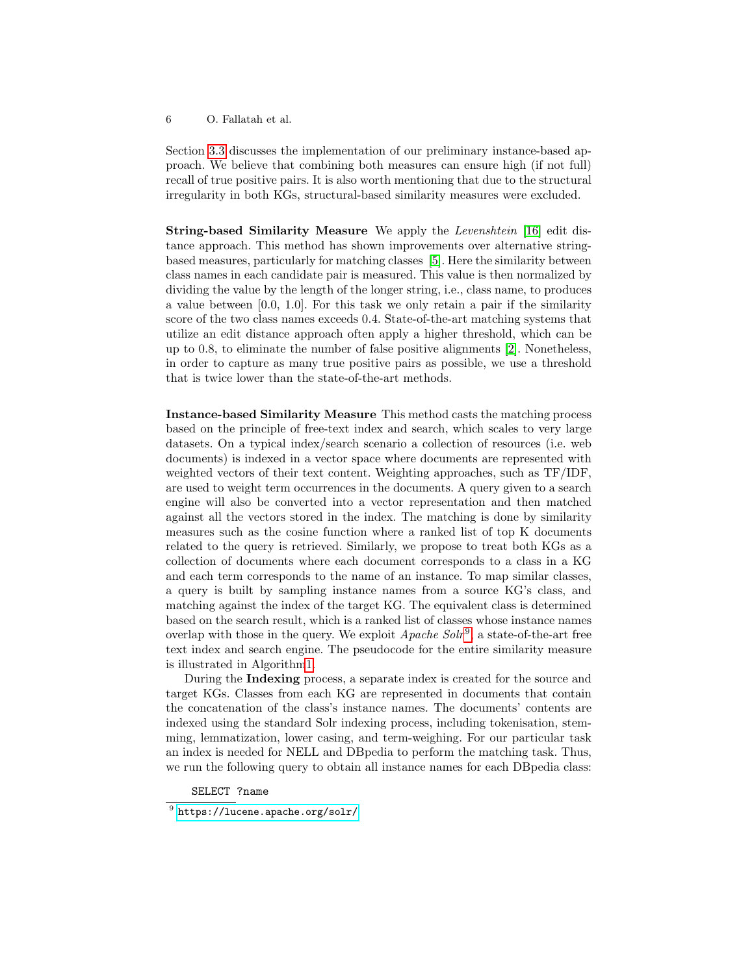Section [3.3](#page-5-0) discusses the implementation of our preliminary instance-based approach. We believe that combining both measures can ensure high (if not full) recall of true positive pairs. It is also worth mentioning that due to the structural irregularity in both KGs, structural-based similarity measures were excluded.

String-based Similarity Measure We apply the Levenshtein [\[16\]](#page-11-7) edit distance approach. This method has shown improvements over alternative stringbased measures, particularly for matching classes [\[5\]](#page-11-8). Here the similarity between class names in each candidate pair is measured. This value is then normalized by dividing the value by the length of the longer string, i.e., class name, to produces a value between  $[0.0, 1.0]$ . For this task we only retain a pair if the similarity score of the two class names exceeds 0.4. State-of-the-art matching systems that utilize an edit distance approach often apply a higher threshold, which can be up to 0.8, to eliminate the number of false positive alignments [\[2\]](#page-10-0). Nonetheless, in order to capture as many true positive pairs as possible, we use a threshold that is twice lower than the state-of-the-art methods.

<span id="page-5-0"></span>Instance-based Similarity Measure This method casts the matching process based on the principle of free-text index and search, which scales to very large datasets. On a typical index/search scenario a collection of resources (i.e. web documents) is indexed in a vector space where documents are represented with weighted vectors of their text content. Weighting approaches, such as TF/IDF, are used to weight term occurrences in the documents. A query given to a search engine will also be converted into a vector representation and then matched against all the vectors stored in the index. The matching is done by similarity measures such as the cosine function where a ranked list of top K documents related to the query is retrieved. Similarly, we propose to treat both KGs as a collection of documents where each document corresponds to a class in a KG and each term corresponds to the name of an instance. To map similar classes, a query is built by sampling instance names from a source KG's class, and matching against the index of the target KG. The equivalent class is determined based on the search result, which is a ranked list of classes whose instance names overlap with those in the query. We exploit  $A$ *pache Solr*<sup>[9](#page--1-4)</sup>, a state-of-the-art free text index and search engine. The pseudocode for the entire similarity measure is illustrated in Algorith[m1.](#page-6-0)

During the Indexing process, a separate index is created for the source and target KGs. Classes from each KG are represented in documents that contain the concatenation of the class's instance names. The documents' contents are indexed using the standard Solr indexing process, including tokenisation, stemming, lemmatization, lower casing, and term-weighing. For our particular task an index is needed for NELL and DBpedia to perform the matching task. Thus, we run the following query to obtain all instance names for each DBpedia class:

SELECT ?name

 $^9$  <https://lucene.apache.org/solr/>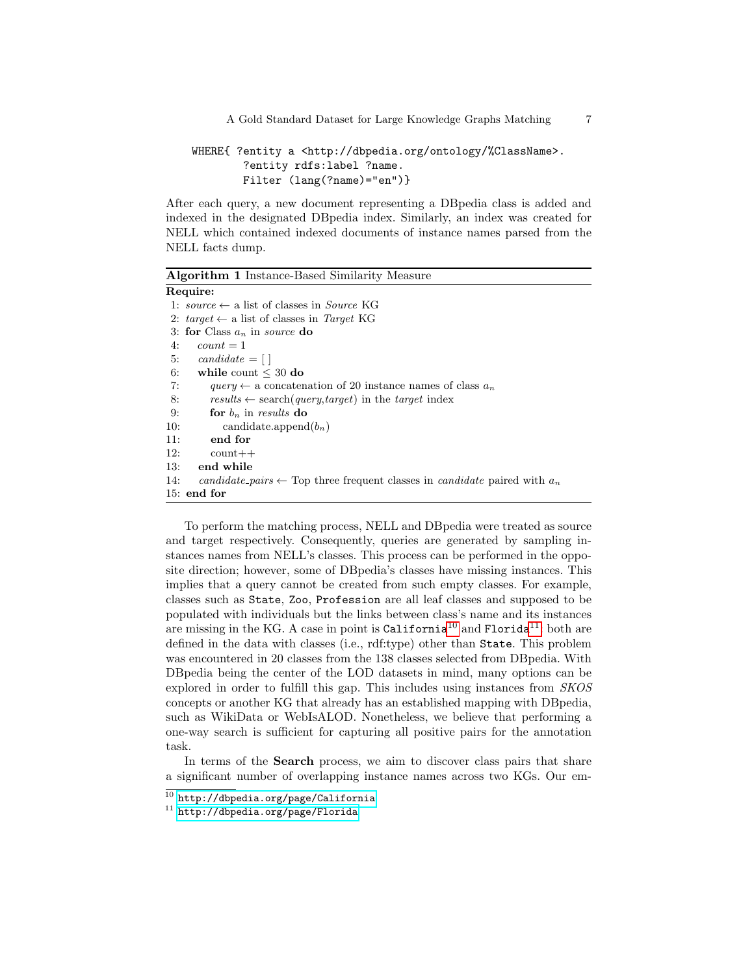```
WHERE{ ?entity a <http://dbpedia.org/ontology/%ClassName>.
        ?entity rdfs:label ?name.
        Filter (lang(?name)="en")}
```
After each query, a new document representing a DBpedia class is added and indexed in the designated DBpedia index. Similarly, an index was created for NELL which contained indexed documents of instance names parsed from the NELL facts dump.

<span id="page-6-0"></span>Algorithm 1 Instance-Based Similarity Measure Require: 1: source  $\leftarrow$  a list of classes in *Source* KG 2:  $target \leftarrow$  a list of classes in Target KG 3: for Class  $a_n$  in source do 4:  $count = 1$ 5: candidate  $= [$ 6: while count  $\leq 30$  do 7: query  $\leftarrow$  a concatenation of 20 instance names of class  $a_n$ 8: results  $\leftarrow$  search(query,target) in the target index 9: for  $b_n$  in results do 10: candidate.append $(b_n)$ 11: end for  $12:$  count + + 13: end while 14: candidate pairs  $\leftarrow$  Top three frequent classes in candidate paired with  $a_n$ 15: end for

To perform the matching process, NELL and DBpedia were treated as source and target respectively. Consequently, queries are generated by sampling instances names from NELL's classes. This process can be performed in the opposite direction; however, some of DBpedia's classes have missing instances. This implies that a query cannot be created from such empty classes. For example, classes such as State, Zoo, Profession are all leaf classes and supposed to be populated with individuals but the links between class's name and its instances are missing in the KG. A case in point is  $\text{California}^{10}$  $\text{California}^{10}$  $\text{California}^{10}$  and  $\text{Florida}^{11}$  $\text{Florida}^{11}$  $\text{Florida}^{11}$ : both are defined in the data with classes (i.e., rdf:type) other than State. This problem was encountered in 20 classes from the 138 classes selected from DBpedia. With DBpedia being the center of the LOD datasets in mind, many options can be explored in order to fulfill this gap. This includes using instances from SKOS concepts or another KG that already has an established mapping with DBpedia, such as WikiData or WebIsALOD. Nonetheless, we believe that performing a one-way search is sufficient for capturing all positive pairs for the annotation task.

In terms of the Search process, we aim to discover class pairs that share a significant number of overlapping instance names across two KGs. Our em-

 $^{10}$  <http://dbpedia.org/page/California>

<sup>11</sup> <http://dbpedia.org/page/Florida>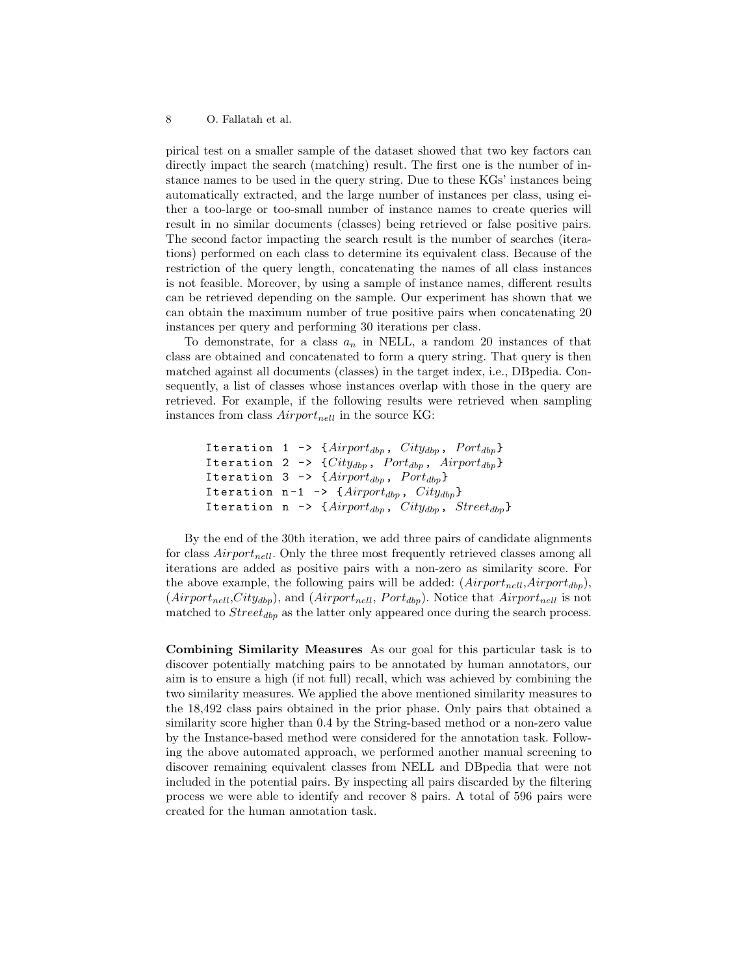pirical test on a smaller sample of the dataset showed that two key factors can directly impact the search (matching) result. The first one is the number of instance names to be used in the query string. Due to these KGs' instances being automatically extracted, and the large number of instances per class, using either a too-large or too-small number of instance names to create queries will result in no similar documents (classes) being retrieved or false positive pairs. The second factor impacting the search result is the number of searches (iterations) performed on each class to determine its equivalent class. Because of the restriction of the query length, concatenating the names of all class instances is not feasible. Moreover, by using a sample of instance names, different results can be retrieved depending on the sample. Our experiment has shown that we can obtain the maximum number of true positive pairs when concatenating 20 instances per query and performing 30 iterations per class.

To demonstrate, for a class  $a_n$  in NELL, a random 20 instances of that class are obtained and concatenated to form a query string. That query is then matched against all documents (classes) in the target index, i.e., DBpedia. Consequently, a list of classes whose instances overlap with those in the query are retrieved. For example, if the following results were retrieved when sampling instances from class  $Airport_{nell}$  in the source KG:

```
Iteration 1 -> {Airport_{dbp}}, City_{dbp}, Port_{dbp}}
Iteration 2 -> \{City_{dbp}, Port_{dbp}, Airport_{dbp}}
Iteration 3 -> {Airport_{dbp}}, Port_{dbp}Iteration n-1 \rightarrow \{Airport_{dbp}, City_{dbp}\}\Iteration n -> {Airport_{dbp}, City_{dbp}, Street_{dbp}}
```
By the end of the 30th iteration, we add three pairs of candidate alignments for class  $Airport_{nell}$ . Only the three most frequently retrieved classes among all iterations are added as positive pairs with a non-zero as similarity score. For the above example, the following pairs will be added:  $(Airport_{nell}, Airport_{dbp})$ ,  $(Airport_{nell},City_{dbp})$ , and  $(Airport_{nell}, Port_{dbp})$ . Notice that  $Airport_{nell}$  is not matched to  $Street_{dbp}$  as the latter only appeared once during the search process.

Combining Similarity Measures As our goal for this particular task is to discover potentially matching pairs to be annotated by human annotators, our aim is to ensure a high (if not full) recall, which was achieved by combining the two similarity measures. We applied the above mentioned similarity measures to the 18,492 class pairs obtained in the prior phase. Only pairs that obtained a similarity score higher than 0.4 by the String-based method or a non-zero value by the Instance-based method were considered for the annotation task. Following the above automated approach, we performed another manual screening to discover remaining equivalent classes from NELL and DBpedia that were not included in the potential pairs. By inspecting all pairs discarded by the filtering process we were able to identify and recover 8 pairs. A total of 596 pairs were created for the human annotation task.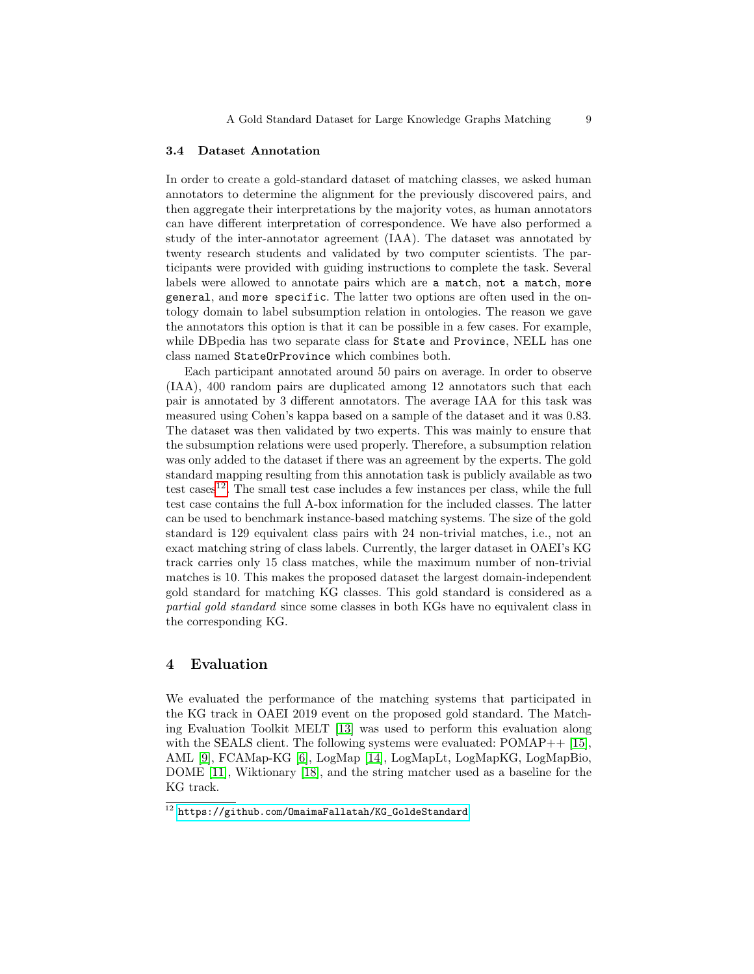#### 3.4 Dataset Annotation

In order to create a gold-standard dataset of matching classes, we asked human annotators to determine the alignment for the previously discovered pairs, and then aggregate their interpretations by the majority votes, as human annotators can have different interpretation of correspondence. We have also performed a study of the inter-annotator agreement (IAA). The dataset was annotated by twenty research students and validated by two computer scientists. The participants were provided with guiding instructions to complete the task. Several labels were allowed to annotate pairs which are a match, not a match, more general, and more specific. The latter two options are often used in the ontology domain to label subsumption relation in ontologies. The reason we gave the annotators this option is that it can be possible in a few cases. For example, while DBpedia has two separate class for State and Province, NELL has one class named StateOrProvince which combines both.

Each participant annotated around 50 pairs on average. In order to observe (IAA), 400 random pairs are duplicated among 12 annotators such that each pair is annotated by 3 different annotators. The average IAA for this task was measured using Cohen's kappa based on a sample of the dataset and it was 0.83. The dataset was then validated by two experts. This was mainly to ensure that the subsumption relations were used properly. Therefore, a subsumption relation was only added to the dataset if there was an agreement by the experts. The gold standard mapping resulting from this annotation task is publicly available as two test cases<sup>[12](#page--1-4)</sup>. The small test case includes a few instances per class, while the full test case contains the full A-box information for the included classes. The latter can be used to benchmark instance-based matching systems. The size of the gold standard is 129 equivalent class pairs with 24 non-trivial matches, i.e., not an exact matching string of class labels. Currently, the larger dataset in OAEI's KG track carries only 15 class matches, while the maximum number of non-trivial matches is 10. This makes the proposed dataset the largest domain-independent gold standard for matching KG classes. This gold standard is considered as a partial gold standard since some classes in both KGs have no equivalent class in the corresponding KG.

## <span id="page-8-0"></span>4 Evaluation

We evaluated the performance of the matching systems that participated in the KG track in OAEI 2019 event on the proposed gold standard. The Matching Evaluation Toolkit MELT [\[13\]](#page-11-9) was used to perform this evaluation along with the SEALS client. The following systems were evaluated:  $POMAP++$  [\[15\]](#page-11-10), AML [\[9\]](#page-11-11), FCAMap-KG [\[6\]](#page-11-12), LogMap [\[14\]](#page-11-13), LogMapLt, LogMapKG, LogMapBio, DOME [\[11\]](#page-11-4), Wiktionary [\[18\]](#page-11-14), and the string matcher used as a baseline for the KG track.

 $^{12}$ https://github.com/0maimaFallatah/KG\_GoldeStandard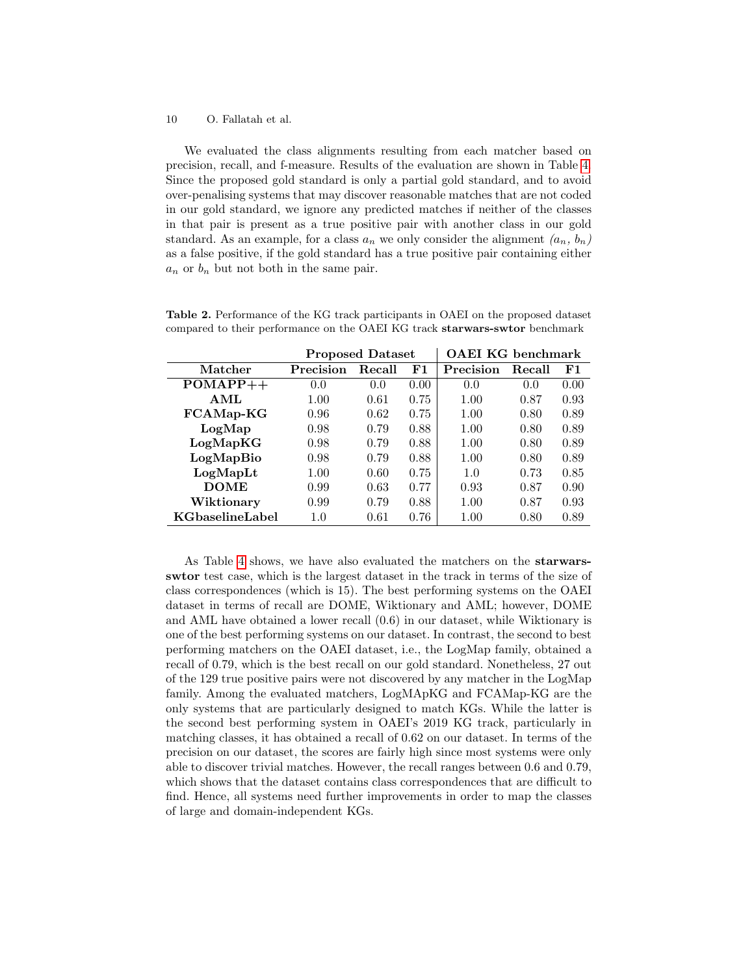We evaluated the class alignments resulting from each matcher based on precision, recall, and f-measure. Results of the evaluation are shown in Table [4.](#page-8-0) Since the proposed gold standard is only a partial gold standard, and to avoid over-penalising systems that may discover reasonable matches that are not coded in our gold standard, we ignore any predicted matches if neither of the classes in that pair is present as a true positive pair with another class in our gold standard. As an example, for a class  $a_n$  we only consider the alignment  $(a_n, b_n)$ as a false positive, if the gold standard has a true positive pair containing either  $a_n$  or  $b_n$  but not both in the same pair.

|                 | <b>Proposed Dataset</b> |        |      | <b>OAEI KG</b> benchmark |        |      |
|-----------------|-------------------------|--------|------|--------------------------|--------|------|
| Matcher         | Precision               | Recall | F1   | Precision                | Recall | F1   |
| $POMAPP++$      | 0.0                     | 0.0    | 0.00 | 0.0                      | 0.0    | 0.00 |
| AML             | 1.00                    | 0.61   | 0.75 | 1.00                     | 0.87   | 0.93 |
| FCAMap-KG       | 0.96                    | 0.62   | 0.75 | 1.00                     | 0.80   | 0.89 |
| LogMap          | 0.98                    | 0.79   | 0.88 | 1.00                     | 0.80   | 0.89 |
| LogMapKG        | 0.98                    | 0.79   | 0.88 | 1.00                     | 0.80   | 0.89 |
| LogMapBio       | 0.98                    | 0.79   | 0.88 | 1.00                     | 0.80   | 0.89 |
| LogMapLt        | 1.00                    | 0.60   | 0.75 | 1.0                      | 0.73   | 0.85 |
| <b>DOME</b>     | 0.99                    | 0.63   | 0.77 | 0.93                     | 0.87   | 0.90 |
| Wiktionary      | 0.99                    | 0.79   | 0.88 | 1.00                     | 0.87   | 0.93 |
| KGbaselineLabel | 1.0                     | 0.61   | 0.76 | $1.00\,$                 | 0.80   | 0.89 |

Table 2. Performance of the KG track participants in OAEI on the proposed dataset compared to their performance on the OAEI KG track starwars-swtor benchmark

As Table [4](#page-8-0) shows, we have also evaluated the matchers on the starwarsswtor test case, which is the largest dataset in the track in terms of the size of class correspondences (which is 15). The best performing systems on the OAEI dataset in terms of recall are DOME, Wiktionary and AML; however, DOME and AML have obtained a lower recall (0.6) in our dataset, while Wiktionary is one of the best performing systems on our dataset. In contrast, the second to best performing matchers on the OAEI dataset, i.e., the LogMap family, obtained a recall of 0.79, which is the best recall on our gold standard. Nonetheless, 27 out of the 129 true positive pairs were not discovered by any matcher in the LogMap family. Among the evaluated matchers, LogMApKG and FCAMap-KG are the only systems that are particularly designed to match KGs. While the latter is the second best performing system in OAEI's 2019 KG track, particularly in matching classes, it has obtained a recall of 0.62 on our dataset. In terms of the precision on our dataset, the scores are fairly high since most systems were only able to discover trivial matches. However, the recall ranges between 0.6 and 0.79, which shows that the dataset contains class correspondences that are difficult to find. Hence, all systems need further improvements in order to map the classes of large and domain-independent KGs.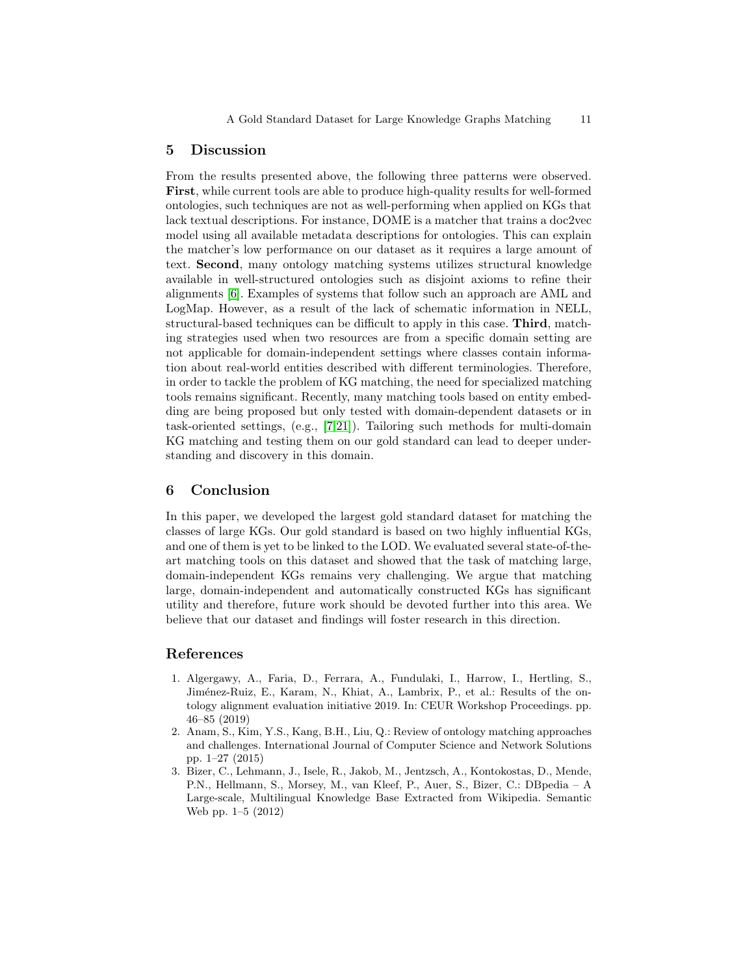## <span id="page-10-2"></span>5 Discussion

From the results presented above, the following three patterns were observed. First, while current tools are able to produce high-quality results for well-formed ontologies, such techniques are not as well-performing when applied on KGs that lack textual descriptions. For instance, DOME is a matcher that trains a doc2vec model using all available metadata descriptions for ontologies. This can explain the matcher's low performance on our dataset as it requires a large amount of text. Second, many ontology matching systems utilizes structural knowledge available in well-structured ontologies such as disjoint axioms to refine their alignments [\[6\]](#page-11-12). Examples of systems that follow such an approach are AML and LogMap. However, as a result of the lack of schematic information in NELL, structural-based techniques can be difficult to apply in this case. Third, matching strategies used when two resources are from a specific domain setting are not applicable for domain-independent settings where classes contain information about real-world entities described with different terminologies. Therefore, in order to tackle the problem of KG matching, the need for specialized matching tools remains significant. Recently, many matching tools based on entity embedding are being proposed but only tested with domain-dependent datasets or in task-oriented settings, (e.g., [\[7](#page-11-15)[,21\]](#page-11-16)). Tailoring such methods for multi-domain KG matching and testing them on our gold standard can lead to deeper understanding and discovery in this domain.

## <span id="page-10-3"></span>6 Conclusion

In this paper, we developed the largest gold standard dataset for matching the classes of large KGs. Our gold standard is based on two highly influential KGs, and one of them is yet to be linked to the LOD. We evaluated several state-of-theart matching tools on this dataset and showed that the task of matching large, domain-independent KGs remains very challenging. We argue that matching large, domain-independent and automatically constructed KGs has significant utility and therefore, future work should be devoted further into this area. We believe that our dataset and findings will foster research in this direction.

## References

- <span id="page-10-1"></span>1. Algergawy, A., Faria, D., Ferrara, A., Fundulaki, I., Harrow, I., Hertling, S., Jiménez-Ruiz, E., Karam, N., Khiat, A., Lambrix, P., et al.: Results of the ontology alignment evaluation initiative 2019. In: CEUR Workshop Proceedings. pp. 46–85 (2019)
- <span id="page-10-0"></span>2. Anam, S., Kim, Y.S., Kang, B.H., Liu, Q.: Review of ontology matching approaches and challenges. International Journal of Computer Science and Network Solutions pp. 1–27 (2015)
- <span id="page-10-4"></span>3. Bizer, C., Lehmann, J., Isele, R., Jakob, M., Jentzsch, A., Kontokostas, D., Mende, P.N., Hellmann, S., Morsey, M., van Kleef, P., Auer, S., Bizer, C.: DBpedia – A Large-scale, Multilingual Knowledge Base Extracted from Wikipedia. Semantic Web pp. 1–5 (2012)